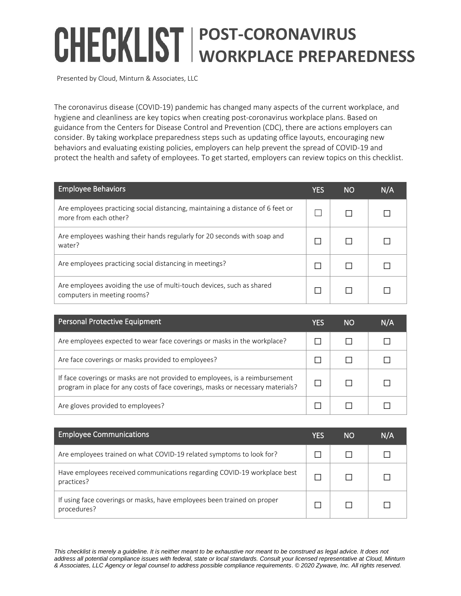## **POST-CORONAVIRUS WORKPLACE PREPAREDNESS**

Presented by Cloud, Minturn & Associates, LLC

The coronavirus disease (COVID-19) pandemic has changed many aspects of the current workplace, and hygiene and cleanliness are key topics when creating post-coronavirus workplace plans. Based on guidance from the Centers for Disease Control and Prevention (CDC), there are actions employers can consider. By taking workplace preparedness steps such as updating office layouts, encouraging new behaviors and evaluating existing policies, employers can help prevent the spread of COVID-19 and protect the health and safety of employees. To get started, employers can review topics on this checklist.

| <b>Employee Behaviors</b>                                                                                | YES | <b>NO</b> | N/A |
|----------------------------------------------------------------------------------------------------------|-----|-----------|-----|
| Are employees practicing social distancing, maintaining a distance of 6 feet or<br>more from each other? |     |           |     |
| Are employees washing their hands regularly for 20 seconds with soap and<br>water?                       |     |           |     |
| Are employees practicing social distancing in meetings?                                                  |     |           |     |
| Are employees avoiding the use of multi-touch devices, such as shared<br>computers in meeting rooms?     |     |           |     |

| Personal Protective Equipment                                                                                                                                   | YES | NO. | N/A |
|-----------------------------------------------------------------------------------------------------------------------------------------------------------------|-----|-----|-----|
| Are employees expected to wear face coverings or masks in the workplace?                                                                                        |     |     |     |
| Are face coverings or masks provided to employees?                                                                                                              |     |     |     |
| If face coverings or masks are not provided to employees, is a reimbursement<br>program in place for any costs of face coverings, masks or necessary materials? |     |     |     |
| Are gloves provided to employees?                                                                                                                               |     |     |     |

| <b>Employee Communications</b>                                                         | YES | NO | N/A |
|----------------------------------------------------------------------------------------|-----|----|-----|
| Are employees trained on what COVID-19 related symptoms to look for?                   |     |    |     |
| Have employees received communications regarding COVID-19 workplace best<br>practices? |     |    |     |
| If using face coverings or masks, have employees been trained on proper<br>procedures? |     |    |     |

*This checklist is merely a guideline. It is neither meant to be exhaustive nor meant to be construed as legal advice. It does not address all potential compliance issues with federal, state or local standards. Consult your licensed representative at Cloud, Minturn & Associates, LLC Agency or legal counsel to address possible compliance requirements*. *© 2020 Zywave, Inc. All rights reserved.*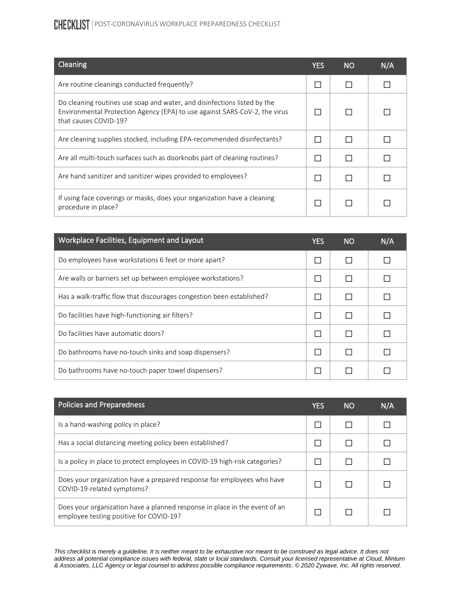## CHECKLIST | POST-CORONAVIRUS WORKPLACE PREPAREDNESS CHECKLIST

| Cleaning                                                                                                                                                                        | <b>YES</b> | <b>NO</b> | N/A |
|---------------------------------------------------------------------------------------------------------------------------------------------------------------------------------|------------|-----------|-----|
| Are routine cleanings conducted frequently?                                                                                                                                     |            |           |     |
| Do cleaning routines use soap and water, and disinfections listed by the<br>Environmental Protection Agency (EPA) to use against SARS-CoV-2, the virus<br>that causes COVID-19? |            |           |     |
| Are cleaning supplies stocked, including EPA-recommended disinfectants?                                                                                                         |            |           |     |
| Are all multi-touch surfaces such as doorknobs part of cleaning routines?                                                                                                       |            |           |     |
| Are hand sanitizer and sanitizer wipes provided to employees?                                                                                                                   |            |           |     |
| If using face coverings or masks, does your organization have a cleaning<br>procedure in place?                                                                                 |            |           |     |

| Workplace Facilities, Equipment and Layout                            | <b>YES</b> | <b>NO</b> | N/A |
|-----------------------------------------------------------------------|------------|-----------|-----|
| Do employees have workstations 6 feet or more apart?                  |            | П         |     |
| Are walls or barriers set up between employee workstations?           |            | П         |     |
| Has a walk-traffic flow that discourages congestion been established? |            | П         |     |
| Do facilities have high-functioning air filters?                      |            | П         |     |
| Do facilities have automatic doors?                                   |            | П         |     |
| Do bathrooms have no-touch sinks and soap dispensers?                 |            | П         |     |
| Do bathrooms have no-touch paper towel dispensers?                    |            |           |     |

| <b>Policies and Preparedness</b>                                                                                      | YES | <b>NO</b> | N/A |
|-----------------------------------------------------------------------------------------------------------------------|-----|-----------|-----|
| Is a hand-washing policy in place?                                                                                    |     |           |     |
| Has a social distancing meeting policy been established?                                                              |     |           |     |
| Is a policy in place to protect employees in COVID-19 high-risk categories?                                           |     |           |     |
| Does your organization have a prepared response for employees who have<br>COVID-19-related symptoms?                  |     |           |     |
| Does your organization have a planned response in place in the event of an<br>employee testing positive for COVID-19? |     |           |     |

*This checklist is merely a guideline. It is neither meant to be exhaustive nor meant to be construed as legal advice. It does not address all potential compliance issues with federal, state or local standards. Consult your licensed representative at Cloud, Minturn & Associates, LLC Agency or legal counsel to address possible compliance requirements*. *© 2020 Zywave, Inc. All rights reserved.*